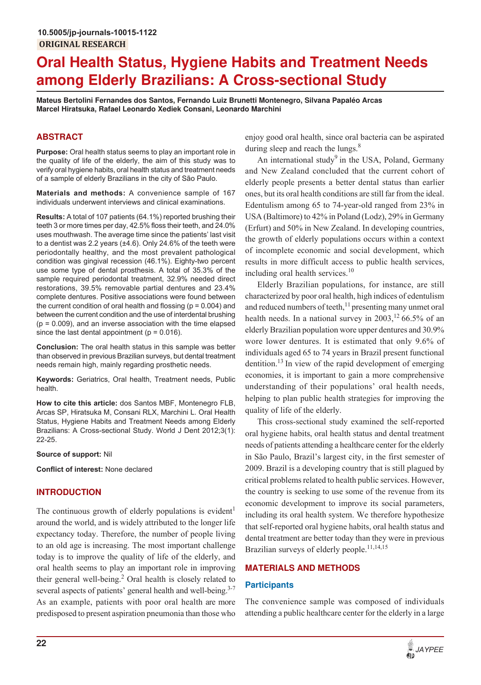# **Oral Health Status, Hygiene Habits and Treatment Needs among Elderly Brazilians: A Cross-sectional Study**

**Mateus Bertolini Fernandes dos Santos, Fernando Luiz Brunetti Montenegro, Silvana Papaléo Arcas Marcel Hiratsuka, Rafael Leonardo Xediek Consani, Leonardo Marchini**

# **ABSTRACT**

**Purpose:** Oral health status seems to play an important role in the quality of life of the elderly, the aim of this study was to verify oral hygiene habits, oral health status and treatment needs of a sample of elderly Brazilians in the city of São Paulo.

**Materials and methods:** A convenience sample of 167 individuals underwent interviews and clinical examinations.

**Results:** A total of 107 patients (64.1%) reported brushing their teeth 3 or more times per day, 42.5% floss their teeth, and 24.0% uses mouthwash. The average time since the patients' last visit to a dentist was 2.2 years (±4.6). Only 24.6% of the teeth were periodontally healthy, and the most prevalent pathological condition was gingival recession (46.1%). Eighty-two percent use some type of dental prosthesis. A total of 35.3% of the sample required periodontal treatment, 32.9% needed direct restorations, 39.5% removable partial dentures and 23.4% complete dentures. Positive associations were found between the current condition of oral health and flossing ( $p = 0.004$ ) and between the current condition and the use of interdental brushing  $(p = 0.009)$ , and an inverse association with the time elapsed since the last dental appointment ( $p = 0.016$ ).

**Conclusion:** The oral health status in this sample was better than observed in previous Brazilian surveys, but dental treatment needs remain high, mainly regarding prosthetic needs.

**Keywords:** Geriatrics, Oral health, Treatment needs, Public health.

**How to cite this article:** dos Santos MBF, Montenegro FLB, Arcas SP, Hiratsuka M, Consani RLX, Marchini L. Oral Health Status, Hygiene Habits and Treatment Needs among Elderly Brazilians: A Cross-sectional Study. World J Dent 2012;3(1): 22-25.

**Source of support:** Nil

**Conflict of interest:** None declared

# **INTRODUCTION**

The continuous growth of elderly populations is evident<sup>1</sup> around the world, and is widely attributed to the longer life expectancy today. Therefore, the number of people living to an old age is increasing. The most important challenge today is to improve the quality of life of the elderly, and oral health seems to play an important role in improving their general well-being.<sup>2</sup> Oral health is closely related to several aspects of patients' general health and well-being.<sup>3-7</sup> As an example, patients with poor oral health are more predisposed to present aspiration pneumonia than those who enjoy good oral health, since oral bacteria can be aspirated during sleep and reach the lungs. $8$ 

An international study<sup>9</sup> in the USA, Poland, Germany and New Zealand concluded that the current cohort of elderly people presents a better dental status than earlier ones, but its oral health conditions are still far from the ideal. Edentulism among 65 to 74-year-old ranged from 23% in USA (Baltimore) to 42% in Poland (Lodz), 29% in Germany (Erfurt) and 50% in New Zealand. In developing countries, the growth of elderly populations occurs within a context of incomplete economic and social development, which results in more difficult access to public health services, including oral health services.<sup>10</sup>

Elderly Brazilian populations, for instance, are still characterized by poor oral health, high indices of edentulism and reduced numbers of teeth, $^{11}$  presenting many unmet oral health needs. In a national survey in  $2003$ , <sup>12</sup> 66.5% of an elderly Brazilian population wore upper dentures and 30.9% wore lower dentures. It is estimated that only 9.6% of individuals aged 65 to 74 years in Brazil present functional dentition.<sup>13</sup> In view of the rapid development of emerging economies, it is important to gain a more comprehensive understanding of their populations' oral health needs, helping to plan public health strategies for improving the quality of life of the elderly.

This cross-sectional study examined the self-reported oral hygiene habits, oral health status and dental treatment needs of patients attending a healthcare center for the elderly in São Paulo, Brazil's largest city, in the first semester of 2009. Brazil is a developing country that is still plagued by critical problems related to health public services. However, the country is seeking to use some of the revenue from its economic development to improve its social parameters, including its oral health system. We therefore hypothesize that self-reported oral hygiene habits, oral health status and dental treatment are better today than they were in previous Brazilian surveys of elderly people.<sup>11,14,15</sup>

# **MATERIALS AND METHODS**

## **Participants**

The convenience sample was composed of individuals attending a public healthcare center for the elderly in a large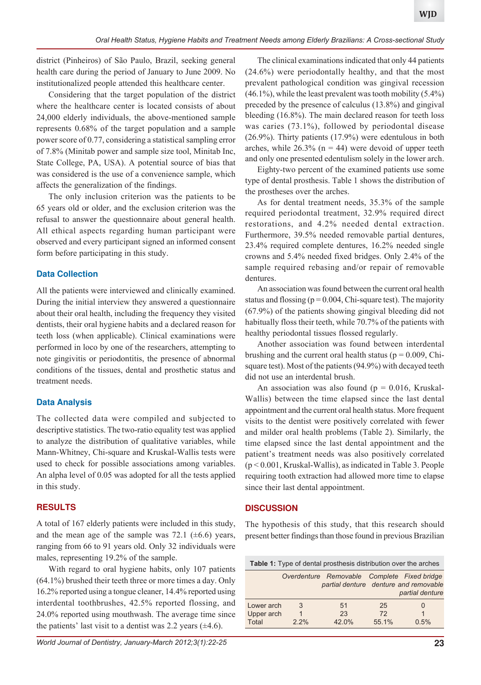district (Pinheiros) of São Paulo, Brazil, seeking general health care during the period of January to June 2009. No institutionalized people attended this healthcare center.

Considering that the target population of the district where the healthcare center is located consists of about 24,000 elderly individuals, the above-mentioned sample represents 0.68% of the target population and a sample power score of 0.77, considering a statistical sampling error of 7.8% (Minitab power and sample size tool, Minitab Inc, State College, PA, USA). A potential source of bias that was considered is the use of a convenience sample, which affects the generalization of the findings.

The only inclusion criterion was the patients to be 65 years old or older, and the exclusion criterion was the refusal to answer the questionnaire about general health. All ethical aspects regarding human participant were observed and every participant signed an informed consent form before participating in this study.

### **Data Collection**

All the patients were interviewed and clinically examined. During the initial interview they answered a questionnaire about their oral health, including the frequency they visited dentists, their oral hygiene habits and a declared reason for teeth loss (when applicable). Clinical examinations were performed in loco by one of the researchers, attempting to note gingivitis or periodontitis, the presence of abnormal conditions of the tissues, dental and prosthetic status and treatment needs.

#### **Data Analysis**

The collected data were compiled and subjected to descriptive statistics. The two-ratio equality test was applied to analyze the distribution of qualitative variables, while Mann-Whitney, Chi-square and Kruskal-Wallis tests were used to check for possible associations among variables. An alpha level of 0.05 was adopted for all the tests applied in this study.

## **RESULTS**

A total of 167 elderly patients were included in this study, and the mean age of the sample was 72.1  $(\pm 6.6)$  years, ranging from 66 to 91 years old. Only 32 individuals were males, representing 19.2% of the sample.

With regard to oral hygiene habits, only 107 patients (64.1%) brushed their teeth three or more times a day. Only 16.2% reported using a tongue cleaner, 14.4% reported using interdental toothbrushes, 42.5% reported flossing, and 24.0% reported using mouthwash. The average time since the patients' last visit to a dentist was 2.2 years  $(\pm 4.6)$ .

The clinical examinations indicated that only 44 patients (24.6%) were periodontally healthy, and that the most prevalent pathological condition was gingival recession  $(46.1\%)$ , while the least prevalent was tooth mobility  $(5.4\%)$ preceded by the presence of calculus (13.8%) and gingival bleeding (16.8%). The main declared reason for teeth loss was caries (73.1%), followed by periodontal disease (26.9%). Thirty patients (17.9%) were edentulous in both arches, while  $26.3\%$  (n = 44) were devoid of upper teeth and only one presented edentulism solely in the lower arch.

Eighty-two percent of the examined patients use some type of dental prosthesis. Table 1 shows the distribution of the prostheses over the arches.

As for dental treatment needs, 35.3% of the sample required periodontal treatment, 32.9% required direct restorations, and 4.2% needed dental extraction. Furthermore, 39.5% needed removable partial dentures, 23.4% required complete dentures, 16.2% needed single crowns and 5.4% needed fixed bridges. Only 2.4% of the sample required rebasing and/or repair of removable dentures.

An association was found between the current oral health status and flossing  $(p = 0.004, Chi$ -square test). The majority (67.9%) of the patients showing gingival bleeding did not habitually floss their teeth, while 70.7% of the patients with healthy periodontal tissues flossed regularly.

Another association was found between interdental brushing and the current oral health status ( $p = 0.009$ , Chisquare test). Most of the patients (94.9%) with decayed teeth did not use an interdental brush.

An association was also found ( $p = 0.016$ , Kruskal-Wallis) between the time elapsed since the last dental appointment and the current oral health status. More frequent visits to the dentist were positively correlated with fewer and milder oral health problems (Table 2). Similarly, the time elapsed since the last dental appointment and the patient's treatment needs was also positively correlated (p < 0.001, Kruskal-Wallis), as indicated in Table 3. People requiring tooth extraction had allowed more time to elapse since their last dental appointment.

#### **DISCUSSION**

The hypothesis of this study, that this research should present better findings than those found in previous Brazilian

| <b>Table 1:</b> Type of dental prosthesis distribution over the arches |              |                                                                                      |                   |                 |  |  |  |
|------------------------------------------------------------------------|--------------|--------------------------------------------------------------------------------------|-------------------|-----------------|--|--|--|
|                                                                        |              | Overdenture Removable Complete Fixed bridge<br>partial denture denture and removable |                   | partial denture |  |  |  |
| Lower arch<br>Upper arch<br>Total                                      | 3<br>$2.2\%$ | 51<br>23<br>42.0%                                                                    | 25<br>72<br>55.1% | 0<br>1<br>0.5%  |  |  |  |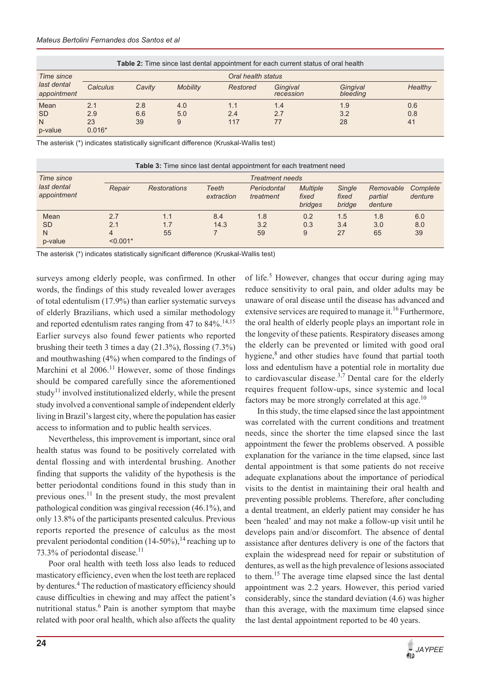| <b>Table 2:</b> Time since last dental appointment for each current status of oral health |                    |        |                 |          |                       |                      |         |
|-------------------------------------------------------------------------------------------|--------------------|--------|-----------------|----------|-----------------------|----------------------|---------|
| Time since<br>last dental<br>appointment                                                  | Oral health status |        |                 |          |                       |                      |         |
|                                                                                           | Calculus           | Cavity | <b>Mobility</b> | Restored | Gingival<br>recession | Gingival<br>bleeding | Healthy |
| Mean                                                                                      | 2.1                | 2.8    | 4.0             | 1.1      | 1.4                   | 1.9                  | 0.6     |
| <b>SD</b>                                                                                 | 2.9                | 6.6    | 5.0             | 2.4      | 2.7                   | 3.2                  | 0.8     |
| N                                                                                         | 23                 | 39     | 9               | 117      | 77                    | 28                   | 41      |
| p-value                                                                                   | $0.016*$           |        |                 |          |                       |                      |         |

The asterisk (\*) indicates statistically significant difference (Kruskal-Wallis test)

| <b>Table 3:</b> Time since last dental appointment for each treatment need |                 |                        |                     |                          |                                     |                           |                                 |                     |  |
|----------------------------------------------------------------------------|-----------------|------------------------|---------------------|--------------------------|-------------------------------------|---------------------------|---------------------------------|---------------------|--|
| Time since<br>last dental<br>appointment                                   |                 | <b>Treatment needs</b> |                     |                          |                                     |                           |                                 |                     |  |
|                                                                            | Repair          | <b>Restorations</b>    | Teeth<br>extraction | Periodontal<br>treatment | <b>Multiple</b><br>fixed<br>bridges | Single<br>fixed<br>bridge | Removable<br>partial<br>denture | Complete<br>denture |  |
| Mean                                                                       | 2.7             | 1.1                    | 8.4                 | 1.8                      | 0.2                                 | 1.5                       | 1.8                             | 6.0                 |  |
| <b>SD</b>                                                                  | 2.1             | 1.7                    | 14.3                | 3.2                      | 0.3                                 | 3.4                       | 3.0                             | 8.0                 |  |
| N<br>p-value                                                               | 4<br>$< 0.001*$ | 55                     |                     | 59                       | 9                                   | 27                        | 65                              | 39                  |  |

The asterisk (\*) indicates statistically significant difference (Kruskal-Wallis test)

surveys among elderly people, was confirmed. In other words, the findings of this study revealed lower averages of total edentulism (17.9%) than earlier systematic surveys of elderly Brazilians, which used a similar methodology and reported edentulism rates ranging from 47 to  $84\%$ .<sup>14,15</sup> Earlier surveys also found fewer patients who reported brushing their teeth 3 times a day (21.3%), flossing (7.3%) and mouthwashing (4%) when compared to the findings of Marchini et al 2006.<sup>11</sup> However, some of those findings should be compared carefully since the aforementioned study<sup>11</sup> involved institutionalized elderly, while the present study involved a conventional sample of independent elderly living in Brazil's largest city, where the population has easier access to information and to public health services.

Nevertheless, this improvement is important, since oral health status was found to be positively correlated with dental flossing and with interdental brushing. Another finding that supports the validity of the hypothesis is the better periodontal conditions found in this study than in previous ones.<sup>11</sup> In the present study, the most prevalent pathological condition was gingival recession (46.1%), and only 13.8% of the participants presented calculus. Previous reports reported the presence of calculus as the most prevalent periodontal condition  $(14-50\%)$ , <sup>14</sup> reaching up to 73.3% of periodontal disease.<sup>11</sup>

Poor oral health with teeth loss also leads to reduced masticatory efficiency, even when the lost teeth are replaced by dentures.<sup>4</sup> The reduction of masticatory efficiency should cause difficulties in chewing and may affect the patient's nutritional status. $6$  Pain is another symptom that maybe related with poor oral health, which also affects the quality of life.<sup>5</sup> However, changes that occur during aging may reduce sensitivity to oral pain, and older adults may be unaware of oral disease until the disease has advanced and extensive services are required to manage it.<sup>16</sup> Furthermore, the oral health of elderly people plays an important role in the longevity of these patients. Respiratory diseases among the elderly can be prevented or limited with good oral hygiene, $8$  and other studies have found that partial tooth loss and edentulism have a potential role in mortality due to cardiovascular disease.<sup>3,7</sup> Dental care for the elderly requires frequent follow-ups, since systemic and local factors may be more strongly correlated at this age.<sup>10</sup>

In this study, the time elapsed since the last appointment was correlated with the current conditions and treatment needs, since the shorter the time elapsed since the last appointment the fewer the problems observed. A possible explanation for the variance in the time elapsed, since last dental appointment is that some patients do not receive adequate explanations about the importance of periodical visits to the dentist in maintaining their oral health and preventing possible problems. Therefore, after concluding a dental treatment, an elderly patient may consider he has been 'healed' and may not make a follow-up visit until he develops pain and/or discomfort. The absence of dental assistance after dentures delivery is one of the factors that explain the widespread need for repair or substitution of dentures, as well as the high prevalence of lesions associated to them.<sup>15</sup> The average time elapsed since the last dental appointment was 2.2 years. However, this period varied considerably, since the standard deviation (4.6) was higher than this average, with the maximum time elapsed since the last dental appointment reported to be 40 years.